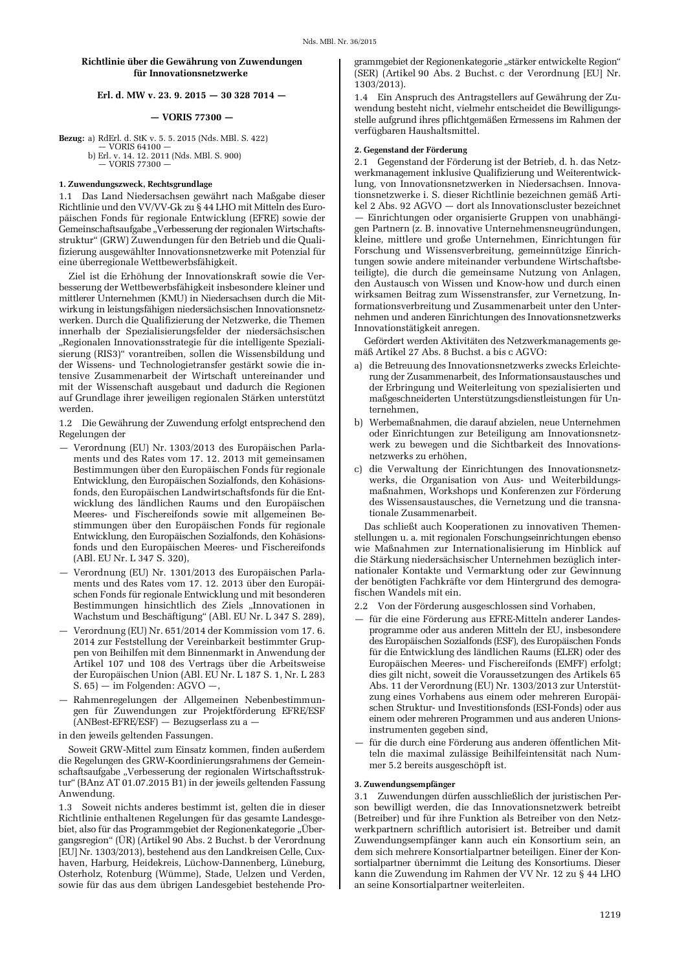# Richtlinie über die Gewährung von Zuwendungen für Innovationsnetzwerke

# Erl. d. MW v. 23. 9. 2015 - 30 328 7014 -

## $-$  VORIS 77300  $-$

**Bezug:** a) RdErl. d. StK v. 5. 5. 2015 (Nds. MBl. S. 422)  $-$  VORIS 64100  $$ b) Erl. v. 14, 12, 2011 (Nds. MBl. S. 900)

 $-$  VORIS 77300

# 1. Zuwendungszweck, Rechtsgrundlage

1.1 Das Land Niedersachsen gewährt nach Maßgabe dieser Richtlinie und den VV/VV-Gk zu § 44 LHO mit Mitteln des Europäischen Fonds für regionale Entwicklung (EFRE) sowie der Gemeinschaftsaufgabe "Verbesserung der regionalen Wirtschaftsstruktur" (GRW) Zuwendungen für den Betrieb und die Qualifizierung ausgewählter Innovationsnetzwerke mit Potenzial für eine überregionale Wettbewerbsfähigkeit.

Ziel ist die Erhöhung der Innovationskraft sowie die Verbesserung der Wettbewerbsfähigkeit insbesondere kleiner und mittlerer Unternehmen (KMU) in Niedersachsen durch die Mitwirkung in leistungsfähigen niedersächsischen Innovationsnetzwerken. Durch die Qualifizierung der Netzwerke, die Themen innerhalb der Spezialisierungsfelder der niedersächsischen "Regionalen Innovationsstrategie für die intelligente Spezialisierung (RIS3)" vorantreiben, sollen die Wissensbildung und der Wissens- und Technologietransfer gestärkt sowie die intensive Zusammenarbeit der Wirtschaft untereinander und mit der Wissenschaft ausgebaut und dadurch die Regionen auf Grundlage ihrer jeweiligen regionalen Stärken unterstützt werden.

1.2 Die Gewährung der Zuwendung erfolgt entsprechend den Regelungen der

- Verordnung (EU) Nr. 1303/2013 des Europäischen Parlaments und des Rates vom 17. 12. 2013 mit gemeinsamen Bestimmungen über den Europäischen Fonds für regionale Entwicklung, den Europäischen Sozialfonds, den Kohäsionsfonds, den Europäischen Landwirtschaftsfonds für die Entwicklung des ländlichen Raums und den Europäischen Meeres- und Fischereifonds sowie mit allgemeinen Bestimmungen über den Europäischen Fonds für regionale Entwicklung, den Europäischen Sozialfonds, den Kohäsionsfonds und den Europäischen Meeres- und Fischereifonds (ABl. EU Nr. L 347 S. 320),
- Verordnung (EU) Nr. 1301/2013 des Europäischen Parlaments und des Rates vom 17. 12. 2013 über den Europäischen Fonds für regionale Entwicklung und mit besonderen Bestimmungen hinsichtlich des Ziels "Innovationen in Wachstum und Beschäftigung" (ABl. EU Nr. L 347 S. 289),
- Verordnung (EU) Nr. 651/2014 der Kommission vom 17. 6. 2014 zur Feststellung der Vereinbarkeit bestimmter Gruppen von Beihilfen mit dem Binnenmarkt in Anwendung der Artikel 107 und 108 des Vertrags über die Arbeitsweise der Europäischen Union (ABl. EU Nr. L 187 S. 1, Nr. L 283  $(S. 65)$  - im Folgenden: AGVO -,
- Rahmenregelungen der Allgemeinen Nebenbestimmungen für Zuwendungen zur Projektförderung EFRE/ESF (ANBest-EFRE/ESF) - Bezugserlass zu a -

in den jeweils geltenden Fassungen.

Soweit GRW-Mittel zum Einsatz kommen, finden außerdem die Regelungen des GRW-Koordinierungsrahmens der Gemeinschaftsaufgabe "Verbesserung der regionalen Wirtschaftsstruktur" (BAnz AT 01.07.2015 B1) in der jeweils geltenden Fassung Anwendung.

1.3 Soweit nichts anderes bestimmt ist, gelten die in dieser Richtlinie enthaltenen Regelungen für das gesamte Landesgebiet, also für das Programmgebiet der Regionenkategorie "Übergangsregion" (ÜR) (Artikel 90 Abs. 2 Buchst, b der Verordnung [EU] Nr. 1303/2013), bestehend aus den Landkreisen Celle, Cuxhaven, Harburg, Heidekreis, Lüchow-Dannenberg, Lüneburg, Osterholz, Rotenburg (Wümme), Stade, Uelzen und Verden, sowie für das aus dem übrigen Landesgebiet bestehende Programmgebiet der Regionenkategorie "stärker entwickelte Region" (SER) (Artikel 90 Abs. 2 Buchst. c der Verordnung [EU] Nr. 1303/2013).

1.4 Ein Anspruch des Antragstellers auf Gewährung der Zuwendung besteht nicht, vielmehr entscheidet die Bewilligungsstelle aufgrund ihres pflichtgemäßen Ermessens im Rahmen der verfügbaren Haushaltsmittel.

### 2. Gegenstand der Förderung

2.1 Gegenstand der Förderung ist der Betrieb, d. h. das Netzwerkmanagement inklusive Qualifizierung und Weiterentwicklung, von Innovationsnetzwerken in Niedersachsen. Innovationsnetzwerke i. S. dieser Richtlinie bezeichnen gemäß Artikel 2 Abs. 92 AGVO - dort als Innovationscluster bezeichnet - Einrichtungen oder organisierte Gruppen von unabhängigen Partnern (z. B. innovative Unternehmensneugründungen, kleine, mittlere und große Unternehmen, Einrichtungen für Forschung und Wissensverbreitung, gemeinnützige Einrichtungen sowie andere miteinander verbundene Wirtschaftsbeteiligte), die durch die gemeinsame Nutzung von Anlagen. den Austausch von Wissen und Know-how und durch einen wirksamen Beitrag zum Wissenstransfer, zur Vernetzung, Informationsverbreitung und Zusammenarbeit unter den Unternehmen und anderen Einrichtungen des Innovationsnetzwerks Innovationstätigkeit anregen.

Gefördert werden Aktivitäten des Netzwerkmanagements gemäß Artikel 27 Abs. 8 Buchst. a bis c AGVO:

- a) die Betreuung des Innovationsnetzwerks zwecks Erleichterung der Zusammenarbeit, des Informationsaustausches und der Erbringung und Weiterleitung von spezialisierten und maßgeschneiderten Unterstützungsdienstleistungen für Unternehmen,
- b) Werbemaßnahmen, die darauf abzielen, neue Unternehmen oder Einrichtungen zur Beteiligung am Innovationsnetzwerk zu bewegen und die Sichtbarkeit des Innovationsnetzwerks zu erhöhen,
- c) die Verwaltung der Einrichtungen des Innovationsnetzwerks, die Organisation von Aus- und Weiterbildungsmaßnahmen, Workshops und Konferenzen zur Förderung des Wissensaustausches, die Vernetzung und die transnationale Zusammenarbeit.

Das schließt auch Kooperationen zu innovativen Themenstellungen u. a. mit regionalen Forschungseinrichtungen ebenso wie Maßnahmen zur Internationalisierung im Hinblick auf die Stärkung niedersächsischer Unternehmen bezüglich internationaler Kontakte und Vermarktung oder zur Gewinnung der benötigten Fachkräfte vor dem Hintergrund des demografischen Wandels mit ein.

2.2 Von der Förderung ausgeschlossen sind Vorhaben,

- für die eine Förderung aus EFRE-Mitteln anderer Landesprogramme oder aus anderen Mitteln der EU, insbesondere des Europäischen Sozialfonds (ESF), des Europäischen Fonds für die Entwicklung des ländlichen Raums (ELER) oder des Europäischen Meeres- und Fischereifonds (EMFF) erfolgt: dies gilt nicht, soweit die Voraussetzungen des Artikels 65 Abs. 11 der Verordnung (EU) Nr. 1303/2013 zur Unterstützung eines Vorhabens aus einem oder mehreren Europäischen Struktur- und Investitionsfonds (ESI-Fonds) oder aus einem oder mehreren Programmen und aus anderen Unionsinstrumenten gegeben sind,
- für die durch eine Förderung aus anderen öffentlichen Mitteln die maximal zulässige Beihilfeintensität nach Nummer 5.2 bereits ausgeschöpft ist.

#### 3. Zuwendungsempfänger

3.1 Zuwendungen dürfen ausschließlich der juristischen Person bewilligt werden, die das Innovationsnetzwerk betreibt (Betreiber) und für ihre Funktion als Betreiber von den Netzwerkpartnern schriftlich autorisiert ist. Betreiber und damit Zuwendungsempfänger kann auch ein Konsortium sein, an dem sich mehrere Konsortialpartner beteiligen. Einer der Konsortialpartner übernimmt die Leitung des Konsortiums. Dieser kann die Zuwendung im Rahmen der VV Nr. 12 zu § 44 LHO an seine Konsortialpartner weiterleiten.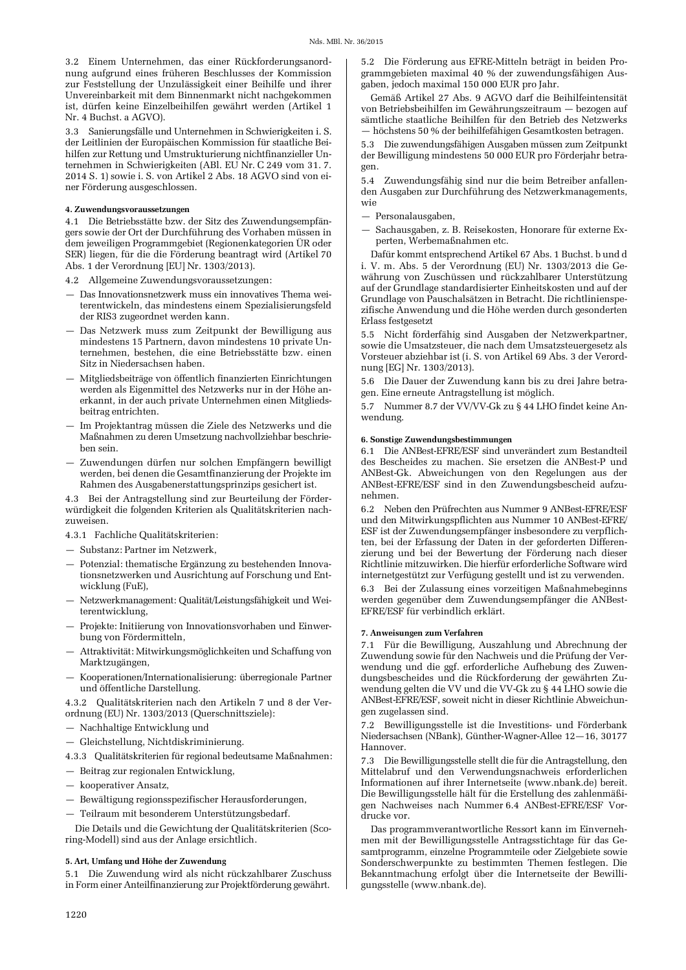3.2 Einem Unternehmen, das einer Rückforderungsanordnung aufgrund eines früheren Beschlusses der Kommission zur Feststellung der Unzulässigkeit einer Beihilfe und ihrer Unvereinbarkeit mit dem Binnenmarkt nicht nachgekommen ist, dürfen keine Einzelbeihilfen gewährt werden (Artikel 1 Nr. 4 Buchst. a AGVO).

3.3 Sanierungsfälle und Unternehmen in Schwierigkeiten i. S. der Leitlinien der Europäischen Kommission für staatliche Beihilfen zur Rettung und Umstrukturierung nichtfinanzieller Unternehmen in Schwierigkeiten (ABl. EU Nr. C 249 vom 31.7. 2014 S. 1) sowie i. S. von Artikel 2 Abs. 18 AGVO sind von einer Förderung ausgeschlossen.

### 4. Zuwendungsvoraussetzungen

4.1 Die Betriebsstätte bzw. der Sitz des Zuwendungsempfängers sowie der Ort der Durchführung des Vorhaben müssen in dem jeweiligen Programmgebiet (Regionenkategorien ÜR oder SER) liegen, für die die Förderung beantragt wird (Artikel 70 Abs. 1 der Verordnung [EU] Nr. 1303/2013).

4.2 Allgemeine Zuwendungsvoraussetzungen:

- Das Innovationsnetzwerk muss ein innovatives Thema weiterentwickeln, das mindestens einem Spezialisierungsfeld der RIS3 zugeordnet werden kann.
- Das Netzwerk muss zum Zeitpunkt der Bewilligung aus mindestens 15 Partnern, davon mindestens 10 private Unternehmen, bestehen, die eine Betriebsstätte bzw. einen Sitz in Niedersachsen haben.
- Mitgliedsbeiträge von öffentlich finanzierten Einrichtungen werden als Eigenmittel des Netzwerks nur in der Höhe anerkannt, in der auch private Unternehmen einen Mitgliedsbeitrag entrichten.
- Im Projektantrag müssen die Ziele des Netzwerks und die Maßnahmen zu deren Umsetzung nachvollziehbar beschrieben sein.
- Zuwendungen dürfen nur solchen Empfängern bewilligt werden, bei denen die Gesamtfinanzierung der Projekte im Rahmen des Ausgabenerstattungsprinzips gesichert ist.

4.3 Bei der Antragstellung sind zur Beurteilung der Förderwürdigkeit die folgenden Kriterien als Qualitätskriterien nachzuweisen.

4.3.1 Fachliche Qualitätskriterien:

- Substanz: Partner im Netzwerk,
- Potenzial: thematische Ergänzung zu bestehenden Innovationsnetzwerken und Ausrichtung auf Forschung und Entwicklung (FuE),
- Netzwerkmanagement: Qualität/Leistungsfähigkeit und Weiterentwicklung,
- Projekte: Initiierung von Innovationsvorhaben und Einwerbung von Fördermitteln,
- Attraktivität: Mitwirkungsmöglichkeiten und Schaffung von Marktzugängen,
- Kooperationen/Internationalisierung: überregionale Partner und öffentliche Darstellung.

4.3.2 Oualitätskriterien nach den Artikeln 7 und 8 der Verordnung (EU) Nr. 1303/2013 (Querschnittsziele):

- Nachhaltige Entwicklung und
- Gleichstellung, Nichtdiskriminierung.

4.3.3 Qualitätskriterien für regional bedeutsame Maßnahmen:

- Beitrag zur regionalen Entwicklung,
- kooperativer Ansatz,
- Bewältigung regionsspezifischer Herausforderungen,
- Teilraum mit besonderem Unterstützungsbedarf.

Die Details und die Gewichtung der Qualitätskriterien (Scoring-Modell) sind aus der Anlage ersichtlich.

## 5. Art, Umfang und Höhe der Zuwendung

5.1 Die Zuwendung wird als nicht rückzahlbarer Zuschuss in Form einer Anteilfinanzierung zur Projektförderung gewährt.

5.2 Die Förderung aus EFRE-Mitteln beträgt in beiden Programmgebieten maximal 40 % der zuwendungsfähigen Ausgaben, jedoch maximal 150 000 EUR pro Jahr.

Gemäß Artikel 27 Abs. 9 AGVO darf die Beihilfeintensität von Betriebsbeihilfen im Gewährungszeitraum — bezogen auf sämtliche staatliche Beihilfen für den Betrieb des Netzwerks - höchstens 50 % der beihilfefähigen Gesamtkosten betragen.

5.3 Die zuwendungsfähigen Ausgaben müssen zum Zeitpunkt der Bewilligung mindestens 50 000 EUR pro Förderjahr betragen.

5.4 Zuwendungsfähig sind nur die beim Betreiber anfallenden Ausgaben zur Durchführung des Netzwerkmanagements, wie

- Personalausgaben,

Sachausgaben, z. B. Reisekosten, Honorare für externe Experten, Werbemaßnahmen etc.

Dafür kommt entsprechend Artikel 67 Abs. 1 Buchst. b und d i. V. m. Abs. 5 der Verordnung (EU) Nr. 1303/2013 die Gewährung von Zuschüssen und rückzahlbarer Unterstützung auf der Grundlage standardisierter Einheitskosten und auf der Grundlage von Pauschalsätzen in Betracht. Die richtlinienspezifische Anwendung und die Höhe werden durch gesonderten Erlass festgesetzt

5.5 Nicht förderfähig sind Ausgaben der Netzwerkpartner, sowie die Umsatzsteuer, die nach dem Umsatzsteuergesetz als Vorsteuer abziehbar ist (i. S. von Artikel 69 Abs. 3 der Verordnung [EG] Nr. 1303/2013).

5.6 Die Dauer der Zuwendung kann bis zu drei Jahre betragen. Eine erneute Antragstellung ist möglich.

5.7 Nummer 8.7 der VV/VV-Gk zu § 44 LHO findet keine Anwendung.

#### 6. Sonstige Zuwendungsbestimmungen

6.1 Die ANBest-EFRE/ESF sind unverändert zum Bestandteil des Bescheides zu machen. Sie ersetzen die ANBest-P und ANBest-Gk. Abweichungen von den Regelungen aus der ANBest-EFRE/ESF sind in den Zuwendungsbescheid aufzunehmen.

6.2 Neben den Prüfrechten aus Nummer 9 ANBest-EFRE/ESF und den Mitwirkungspflichten aus Nummer 10 ANBest-EFRE/ ESF ist der Zuwendungsempfänger insbesondere zu verpflichten, bei der Erfassung der Daten in der geforderten Differenzierung und bei der Bewertung der Förderung nach dieser Richtlinie mitzuwirken. Die hierfür erforderliche Software wird internetgestützt zur Verfügung gestellt und ist zu verwenden.

6.3 Bei der Zulassung eines vorzeitigen Maßnahmebeginns werden gegenüber dem Zuwendungsempfänger die ANBest-EFRE/ESF für verbindlich erklärt.

### 7. Anweisungen zum Verfahren

7.1 Für die Bewilligung, Auszahlung und Abrechnung der Zuwendung sowie für den Nachweis und die Prüfung der Verwendung und die ggf. erforderliche Aufhebung des Zuwendungsbescheides und die Rückforderung der gewährten Zuwendung gelten die VV und die VV-Gk zu § 44 LHO sowie die ANBest-EFRE/ESF, soweit nicht in dieser Richtlinie Abweichungen zugelassen sind.

7.2 Bewilligungsstelle ist die Investitions- und Förderbank Niedersachsen (NBank), Günther-Wagner-Allee 12-16, 30177 Hannover.

7.3 Die Bewilligungsstelle stellt die für die Antragstellung, den Mittelabruf und den Verwendungsnachweis erforderlichen Informationen auf ihrer Internetseite (www.nbank.de) bereit. Die Bewilligungsstelle hält für die Erstellung des zahlenmäßigen Nachweises nach Nummer 6.4 ANBest-EFRE/ESF Vordrucke vor

Das programmverantwortliche Ressort kann im Einvernehmen mit der Bewilligungsstelle Antragsstichtage für das Gesamtprogramm, einzelne Programmteile oder Zielgebiete sowie Sonderschwerpunkte zu bestimmten Themen festlegen. Die Bekanntmachung erfolgt über die Internetseite der Bewilligungsstelle (www.nbank.de).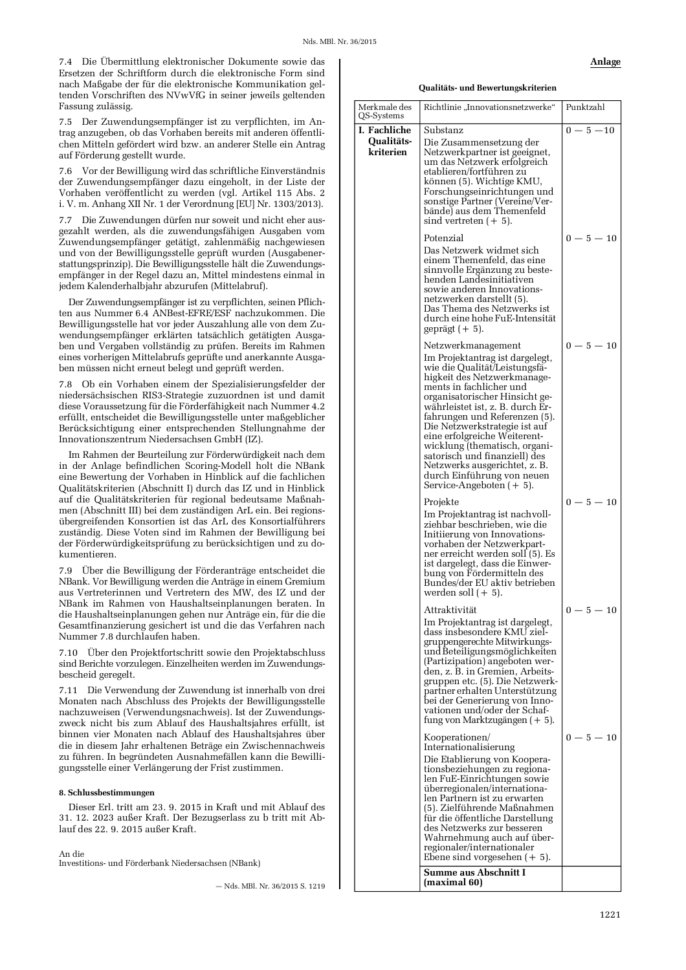7.4 Die Übermittlung elektronischer Dokumente sowie das Ersetzen der Schriftform durch die elektronische Form sind nach Maßgabe der für die elektronische Kommunikation geltenden Vorschriften des NVwVfG in seiner jeweils geltenden Fassung zulässig.

7.5 Der Zuwendungsempfänger ist zu verpflichten, im Antrag anzugeben, ob das Vorhaben bereits mit anderen öffentlichen Mitteln gefördert wird bzw. an anderer Stelle ein Antrag auf Förderung gestellt wurde.

7.6 Vor der Bewilligung wird das schriftliche Einverständnis der Zuwendungsempfänger dazu eingeholt, in der Liste der Vorhaben veröffentlicht zu werden (vgl. Artikel 115 Abs. 2 i. V. m. Anhang XII Nr. 1 der Verordnung [EU] Nr. 1303/2013).

Die Zuwendungen dürfen nur soweit und nicht eher aus- $7.7$ gezahlt werden, als die zuwendungsfähigen Ausgaben vom Zuwendungsempfänger getätigt, zahlenmäßig nachgewiesen und von der Bewilligungsstelle geprüft wurden (Ausgabenerstattungsprinzip). Die Bewilligungsstelle hält die Zuwendungsempfänger in der Regel dazu an, Mittel mindestens einmal in jedem Kalenderhalbjahr abzurufen (Mittelabruf).

Der Zuwendungsempfänger ist zu verpflichten, seinen Pflichten aus Nummer 6.4 ANBest-EFRE/ESF nachzukommen. Die Bewilligungsstelle hat vor jeder Auszahlung alle von dem Zuwendungsempfänger erklärten tatsächlich getätigten Ausgaben und Vergaben vollständig zu prüfen. Bereits im Rahmen eines vorherigen Mittelabrufs geprüfte und anerkannte Ausgaben müssen nicht erneut belegt und geprüft werden.

7.8 Ob ein Vorhaben einem der Spezialisierungsfelder der niedersächsischen RIS3-Strategie zuzuordnen ist und damit diese Voraussetzung für die Förderfähigkeit nach Nummer 4.2 erfüllt, entscheidet die Bewilligungsstelle unter maßgeblicher Berücksichtigung einer entsprechenden Stellungnahme der Innovationszentrum Niedersachsen GmbH (IZ).

Im Rahmen der Beurteilung zur Förderwürdigkeit nach dem in der Anlage befindlichen Scoring-Modell holt die NBank eine Bewertung der Vorhaben in Hinblick auf die fachlichen Qualitätskriterien (Abschnitt I) durch das IZ und in Hinblick auf die Qualitätskriterien für regional bedeutsame Maßnahmen (Abschnitt III) bei dem zuständigen ArL ein. Bei regionsübergreifenden Konsortien ist das ArL des Konsortialführers zuständig. Diese Voten sind im Rahmen der Bewilligung bei der Förderwürdigkeitsprüfung zu berücksichtigen und zu dokumentieren.

7.9 Über die Bewilligung der Förderanträge entscheidet die NBank. Vor Bewilligung werden die Anträge in einem Gremium aus Vertreterinnen und Vertretern des MW, des IZ und der NBank im Rahmen von Haushaltseinplanungen beraten. In die Haushaltseinplanungen gehen nur Anträge ein, für die die Gesamtfinanzierung gesichert ist und die das Verfahren nach Nummer 7.8 durchlaufen haben.

Über den Projektfortschritt sowie den Projektabschluss sind Berichte vorzulegen. Einzelheiten werden im Zuwendungsbescheid geregelt.

7.11 Die Verwendung der Zuwendung ist innerhalb von drei Monaten nach Abschluss des Projekts der Bewilligungsstelle nachzuweisen (Verwendungsnachweis). Ist der Zuwendungszweck nicht bis zum Ablauf des Haushaltsjahres erfüllt, ist binnen vier Monaten nach Ablauf des Haushaltsjahres über die in diesem Jahr erhaltenen Beträge ein Zwischennachweis zu führen. In begründeten Ausnahmefällen kann die Bewilligungsstelle einer Verlängerung der Frist zustimmen.

## 8. Schlussbestimmungen

Dieser Erl. tritt am 23. 9. 2015 in Kraft und mit Ablauf des 31. 12. 2023 außer Kraft. Der Bezugserlass zu b tritt mit Ablauf des 22. 9. 2015 außer Kraft.

#### An die

Investitions- und Förderbank Niedersachsen (NBank)

 $-$  Nds. MBL Nr. 36/2015 S, 1219

Qualitäts- und Bewertungskriterien

| Merkmale des<br>QS-Systems | Richtlinie "Innovationsnetzwerke"                                                                                                                                                                                                                                                                                                                                                                                                                                                        | Punktzahl    |
|----------------------------|------------------------------------------------------------------------------------------------------------------------------------------------------------------------------------------------------------------------------------------------------------------------------------------------------------------------------------------------------------------------------------------------------------------------------------------------------------------------------------------|--------------|
| I. Fachliche               | Substanz                                                                                                                                                                                                                                                                                                                                                                                                                                                                                 | $0 - 5 - 10$ |
| Qualitäts-<br>kriterien    | Die Zusammensetzung der<br>Netzwerkpartner ist geeignet,<br>um das Netzwerk erfolgreich<br>etablieren/fortführen zu<br>können (5). Wichtige KMU,<br>Forschungseinrichtungen und<br>sonstige Partner (Vereine/Ver-<br>bände) aus dem Themenfeld<br>sind vertreten $(+ 5)$ .                                                                                                                                                                                                               |              |
|                            | Potenzial<br>Das Netzwerk widmet sich<br>einem Themenfeld, das eine<br>sinnvolle Ergänzung zu beste-<br>henden Landesinitiativen<br>sowie anderen Innovations-<br>netzwerken darstellt (5).<br>Das Thema des Netzwerks ist<br>durch eine hohe FuE-Intensität<br>geprägt $(+5)$ .                                                                                                                                                                                                         | $0 - 5 - 10$ |
|                            | Netzwerkmanagement<br>Im Projektantrag ist dargelegt,<br>wie die Qualität/Leistungsfä-<br>higkeit des Netzwerkmanage-<br>ments in fachlicher und<br>organisatorischer Hinsicht ge-<br>währleistet ist, z. B. durch Er-<br>fahrungen und Referenzen (5).<br>Die Netzwerkstrategie ist auf<br>eine erfolgreiche Weiterent-<br>wicklung (thematisch, organi-<br>satorisch und finanziell) des<br>Netzwerks ausgerichtet, z. B.<br>durch Einführung von neuen<br>Service-Angeboten $(+ 5)$ . | $0 - 5 - 10$ |
|                            | Projekte<br>Im Projektantrag ist nachvoll-<br>ziehbar beschrieben, wie die<br>Initiierung von Innovations-<br>vorhaben der Netzwerkpart-<br>ner erreicht werden soll (5). Es<br>ist dargelegt, dass die Einwer-<br>bung von Fördermitteln des<br>Bundes/der EU aktiv betrieben<br>werden soll $(+ 5)$ .                                                                                                                                                                                  | $0 - 5 - 10$ |
|                            | Attraktivität<br>Im Projektantrag ist dargelegt,<br>dass insbesondere KMU ziel-<br>gruppengerechte Mitwirkungs-<br>und Beteiligungsmöglichkeiten<br>(Partizipation) angeboten wer-<br>den, z. B. in Gremien, Arbeits-<br>gruppen etc. (5). Die Netzwerk-<br>partner erhalten Unterstützung<br>bei der Generierung von Inno-<br>vationen und/oder der Schaf-<br>fung von Marktzugängen (+ 5).                                                                                             | $0 - 5 - 10$ |
|                            | Kooperationen/<br>Internationalisierung<br>Die Etablierung von Koopera-<br>tionsbeziehungen zu regiona-<br>len FuE-Einrichtungen sowie<br>überregionalen/internationa-<br>len Partnern ist zu erwarten<br>(5). Zielführende Maßnahmen<br>für die öffentliche Darstellung<br>des Netzwerks zur besseren<br>Wahrnehmung auch auf über-<br>regionaler/internationaler<br>Ebene sind vorgesehen $(+5)$ .                                                                                     | $0 - 5 - 10$ |
|                            | Summe aus Abschnitt I<br>(maximal 60)                                                                                                                                                                                                                                                                                                                                                                                                                                                    |              |